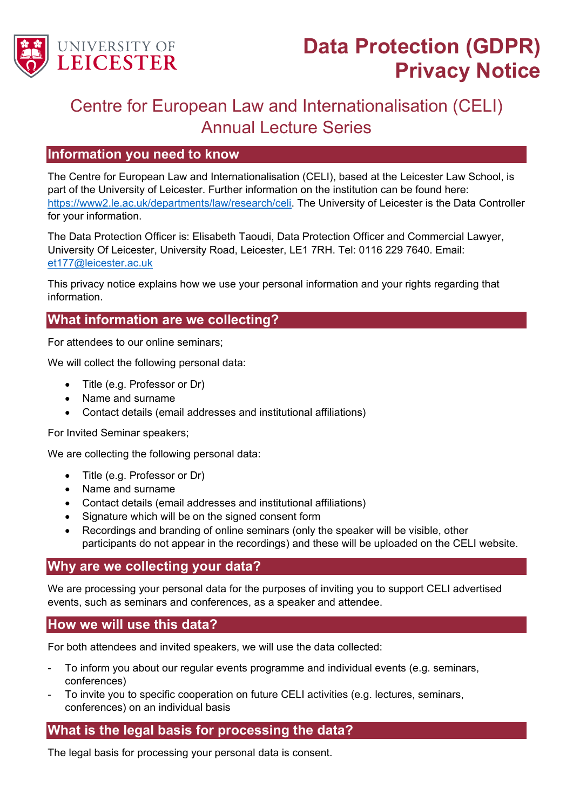

# **Data Protection (GDPR) Privacy Notice**

# Centre for European Law and Internationalisation (CELI) Annual Lecture Series

## **Information you need to know**

The Centre for European Law and Internationalisation (CELI), based at the Leicester Law School, is part of the University of Leicester. Further information on the institution can be found here: [https://www2.le.ac.uk/departments/law/research/celi.](https://www2.le.ac.uk/departments/law/research/celi) The University of Leicester is the Data Controller for your information.

The Data Protection Officer is: Elisabeth Taoudi, Data Protection Officer and Commercial Lawyer, University Of Leicester, University Road, Leicester, LE1 7RH. Tel: 0116 229 7640. Email: [et177@leicester.ac.uk](mailto:et177@leicester.ac.uk)

This privacy notice explains how we use your personal information and your rights regarding that information.

# **What information are we collecting?**

For attendees to our online seminars;

We will collect the following personal data:

- Title (e.g. Professor or Dr)
- Name and surname
- Contact details (email addresses and institutional affiliations)

For Invited Seminar speakers;

We are collecting the following personal data:

- Title (e.g. Professor or Dr)
- Name and surname
- Contact details (email addresses and institutional affiliations)
- Signature which will be on the signed consent form
- Recordings and branding of online seminars (only the speaker will be visible, other participants do not appear in the recordings) and these will be uploaded on the CELI website.

### **Why are we collecting your data?**

We are processing your personal data for the purposes of inviting you to support CELI advertised events, such as seminars and conferences, as a speaker and attendee.

#### **How we will use this data?**

For both attendees and invited speakers, we will use the data collected:

- To inform you about our regular events programme and individual events (e.g. seminars, conferences)
- To invite you to specific cooperation on future CELI activities (e.g. lectures, seminars, conferences) on an individual basis

# **What is the legal basis for processing the data?**

The legal basis for processing your personal data is consent.